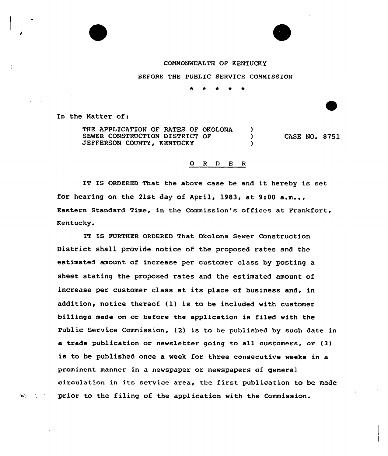COMMONWEALTH OF KENTUCKY

BEFORE THE PUBLIC SERVICE COMMISSION

\* \* \* \*

In the Matter of:

 $\mathbf{R}^{(1)}_{\mathbf{N}}$  , where  $\mathbf{R}^{(2)}$ 

THE APPLICATION OF RATES OF OKOLONA (1)<br>SEWER CONSTRUCTION DISTRICT OF (1) SEWER CONSTRUCTION DISTRICT OF JEFFERSON COUNTY, KENTUCKY CASE NO. S751

## 0 <sup>R</sup> <sup>D</sup> E <sup>R</sup>

IT IS ORDERED That the above case be and it hereby is set for hearing on the 21st day of April, 1983, at 9:00  $a.m.,.$ Eastern Standard Time, in the Commission's offices at Frankfort, Kentucky.

IT IS FURTHER ORDERED That Okolona Sewer Construction District shall provide notice of the proposed rates and the estimated amount of increase per customer class by posting a sheet stating the proposed rates and the estimated amount of increase per customer class at its place of business and, in addition, notice thereof (1) is to be included with customer billings made on or before the application is filed with the Public Service Commission, (2) is to be published by such date in a trade publication or newsletter going to all customers, or (3} is to be published once a week for three consecutive weeks in a prominent manner in a newspaper or newspapers of general circulation in its service area, the first publication to be made prior to the filing of the application with the Commission.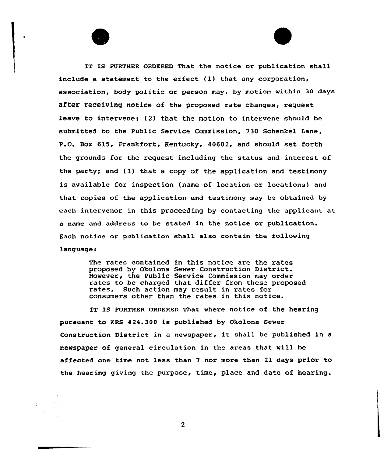IT IS FURTHER ORDERED That the notice or publication shall include a statement to the effect (1} that any corporation, association, body politic or person may, by motion within 30 days after receiving notice of the proposed rate changes, request leave to intervene; (2) that the motion to intervene should be submitted to the Public Service Commission, 730 Schenkel Lane, P.O. Box 615, Frankfort, Kentucky, 40602, and should set forth the grounds for the xequest including the status and interest of the paxty; and (3) that a copy of the application and testimony is available for inspection (name of location or locations} and that copies of the application and testimony may be obtained by each intervenor in this proceeding by contacting the applicant at a name and address to be stated in the notice or publication. Each notice or publication shall also contain the following language:

> The rates contained in this notice are the rates px'oposed by Gkolona Sewer Construction District. However, the Public Service Commission may order rates to be charged that differ from these proposed rates. Such action may result in rates for consumers other than the xates in this notice.

IT IS FURTHER ORDERED That where notice of the hearing pursuant to KRS 424.300 is published by Qkolona Sewer Construction District in <sup>a</sup> newspaper, it shall be published in <sup>a</sup> newspaper of general circulation in the areas that will be affected one time not less than <sup>7</sup> nor more than 21 days prior to the hearing giving the purpose, time, place and date of hearing.

 $\overline{2}$